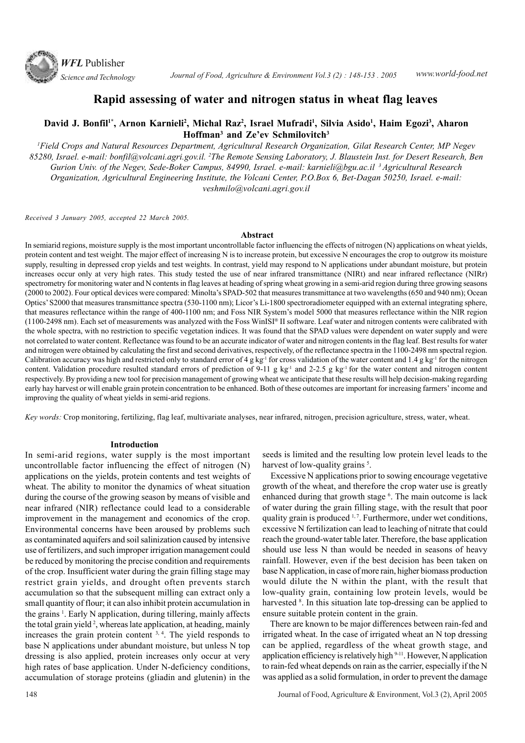

# **Rapid assessing of water and nitrogen status in wheat flag leaves**

# **David J. Bonfil1\*, Arnon Karnieli<sup>2</sup> , Michal Raz<sup>2</sup> , Israel Mufradi<sup>1</sup> , Silvia Asido<sup>1</sup> , Haim Egozi<sup>3</sup> , Aharon Hoffman<sup>3</sup> and Ze'ev Schmilovitch<sup>3</sup>**

*<sup>1</sup>Field Crops and Natural Resources Department, Agricultural Research Organization, Gilat Research Center, MP Negev 85280, Israel. e-mail: bonfil@volcani.agri.gov.il. <sup>2</sup>The Remote Sensing Laboratory, J. Blaustein Inst. for Desert Research, Ben Gurion Univ. of the Negev, Sede-Boker Campus, 84990, Israel. e-mail: karnieli@bgu.ac.il <sup>3</sup>Agricultural Research Organization, Agricultural Engineering Institute, the Volcani Center, P.O.Box 6, Bet-Dagan 50250, Israel. e-mail: veshmilo@volcani.agri.gov.il*

*Received 3 January 2005, accepted 22 March 2005.*

### **Abstract**

In semiarid regions, moisture supply is the most important uncontrollable factor influencing the effects of nitrogen (N) applications on wheat yields, protein content and test weight. The major effect of increasing N is to increase protein, but excessive N encourages the crop to outgrow its moisture supply, resulting in depressed crop yields and test weights. In contrast, yield may respond to N applications under abundant moisture, but protein increases occur only at very high rates. This study tested the use of near infrared transmittance (NIRt) and near infrared reflectance (NIRr) spectrometry for monitoring water and N contents in flag leaves at heading of spring wheat growing in a semi-arid region during three growing seasons (2000 to 2002). Four optical devices were compared: Minolta's SPAD-502 that measures transmittance at two wavelengths (650 and 940 nm); Ocean Optics' S2000 that measures transmittance spectra (530-1100 nm); Licor's Li-1800 spectroradiometer equipped with an external integrating sphere, that measures reflectance within the range of 400-1100 nm; and Foss NIR System's model 5000 that measures reflectance within the NIR region (1100-2498 nm). Each set of measurements was analyzed with the Foss WinISI® II software. Leaf water and nitrogen contents were calibrated with the whole spectra, with no restriction to specific vegetation indices. It was found that the SPAD values were dependent on water supply and were not correlated to water content. Reflectance was found to be an accurate indicator of water and nitrogen contents in the flag leaf. Best results for water and nitrogen were obtained by calculating the first and second derivatives, respectively, of the reflectance spectra in the 1100-2498 nm spectral region. Calibration accuracy was high and restricted only to standard error of 4 g kg<sup>-1</sup> for cross validation of the water content and 1.4 g kg<sup>-1</sup> for the nitrogen content. Validation procedure resulted standard errors of prediction of 9-11 g kg<sup>-1</sup> and 2-2.5 g kg<sup>-1</sup> for the water content and nitrogen content respectively. By providing a new tool for precision management of growing wheat we anticipate that these results will help decision-making regarding early hay harvest or will enable grain protein concentration to be enhanced. Both of these outcomes are important for increasing farmers' income and improving the quality of wheat yields in semi-arid regions.

*Key words:* Crop monitoring, fertilizing, flag leaf, multivariate analyses, near infrared, nitrogen, precision agriculture, stress, water, wheat.

### **Introduction**

In semi-arid regions, water supply is the most important uncontrollable factor influencing the effect of nitrogen (N) applications on the yields, protein contents and test weights of wheat. The ability to monitor the dynamics of wheat situation during the course of the growing season by means of visible and near infrared (NIR) reflectance could lead to a considerable improvement in the management and economics of the crop. Environmental concerns have been aroused by problems such as contaminated aquifers and soil salinization caused by intensive use of fertilizers, and such improper irrigation management could be reduced by monitoring the precise condition and requirements of the crop. Insufficient water during the grain filling stage may restrict grain yields, and drought often prevents starch accumulation so that the subsequent milling can extract only a small quantity of flour; it can also inhibit protein accumulation in the grains<sup>1</sup>. Early N application, during tillering, mainly affects the total grain yield<sup>2</sup>, whereas late application, at heading, mainly increases the grain protein content  $3, 4$ . The yield responds to base N applications under abundant moisture, but unless N top dressing is also applied, protein increases only occur at very high rates of base application. Under N-deficiency conditions, accumulation of storage proteins (gliadin and glutenin) in the seeds is limited and the resulting low protein level leads to the harvest of low-quality grains<sup>5</sup>.

 Excessive N applications prior to sowing encourage vegetative growth of the wheat, and therefore the crop water use is greatly enhanced during that growth stage <sup>6</sup>. The main outcome is lack of water during the grain filling stage, with the result that poor quality grain is produced  $1, 7$ . Furthermore, under wet conditions, excessive N fertilization can lead to leaching of nitrate that could reach the ground-water table later. Therefore, the base application should use less N than would be needed in seasons of heavy rainfall. However, even if the best decision has been taken on base N application, in case of more rain, higher biomass production would dilute the N within the plant, with the result that low-quality grain, containing low protein levels, would be harvested <sup>8</sup>. In this situation late top-dressing can be applied to ensure suitable protein content in the grain.

 There are known to be major differences between rain-fed and irrigated wheat. In the case of irrigated wheat an N top dressing can be applied, regardless of the wheat growth stage, and application efficiency is relatively high 9-11. However, N application to rain-fed wheat depends on rain as the carrier, especially if the N was applied as a solid formulation, in order to prevent the damage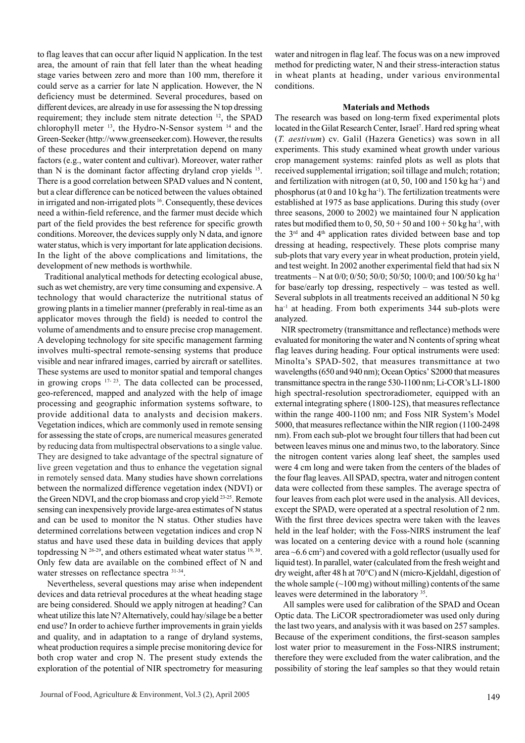to flag leaves that can occur after liquid N application. In the test area, the amount of rain that fell later than the wheat heading stage varies between zero and more than 100 mm, therefore it could serve as a carrier for late N application. However, the N deficiency must be determined. Several procedures, based on different devices, are already in use for assessing the N top dressing requirement; they include stem nitrate detection <sup>12</sup>, the SPAD chlorophyll meter <sup>13</sup>, the Hydro-N-Sensor system <sup>14</sup> and the Green-Seeker (http://www.greenseeker.com). However, the results of these procedures and their interpretation depend on many factors (e.g., water content and cultivar). Moreover, water rather than N is the dominant factor affecting dryland crop yields <sup>15</sup>. There is a good correlation between SPAD values and N content, but a clear difference can be noticed between the values obtained in irrigated and non-irrigated plots <sup>16</sup>. Consequently, these devices need a within-field reference, and the farmer must decide which part of the field provides the best reference for specific growth conditions. Moreover, the devices supply only N data, and ignore water status, which is very important for late application decisions. In the light of the above complications and limitations, the development of new methods is worthwhile.

 Traditional analytical methods for detecting ecological abuse, such as wet chemistry, are very time consuming and expensive. A technology that would characterize the nutritional status of growing plants in a timelier manner (preferably in real-time as an applicator moves through the field) is needed to control the volume of amendments and to ensure precise crop management. A developing technology for site specific management farming involves multi-spectral remote-sensing systems that produce visible and near infrared images, carried by aircraft or satellites. These systems are used to monitor spatial and temporal changes in growing crops  $17-23$ . The data collected can be processed, geo-referenced, mapped and analyzed with the help of image processing and geographic information systems software, to provide additional data to analysts and decision makers. Vegetation indices, which are commonly used in remote sensing for assessing the state of crops, are numerical measures generated by reducing data from multispectral observations to a single value. They are designed to take advantage of the spectral signature of live green vegetation and thus to enhance the vegetation signal in remotely sensed data. Many studies have shown correlations between the normalized difference vegetation index (NDVI) or the Green NDVI, and the crop biomass and crop yield <sup>23-25</sup>. Remote sensing can inexpensively provide large-area estimates of N status and can be used to monitor the N status. Other studies have determined correlations between vegetation indices and crop N status and have used these data in building devices that apply topdressing N  $^{26-29}$ , and others estimated wheat water status  $^{19,30}$ . Only few data are available on the combined effect of N and water stresses on reflectance spectra  $31-34$ .

 Nevertheless, several questions may arise when independent devices and data retrieval procedures at the wheat heading stage are being considered. Should we apply nitrogen at heading? Can wheat utilize this late N? Alternatively, could hay/silage be a better end use? In order to achieve further improvements in grain yields and quality, and in adaptation to a range of dryland systems, wheat production requires a simple precise monitoring device for both crop water and crop N. The present study extends the exploration of the potential of NIR spectrometry for measuring water and nitrogen in flag leaf. The focus was on a new improved method for predicting water, N and their stress-interaction status in wheat plants at heading, under various environmental conditions.

## **Materials and Methods**

The research was based on long-term fixed experimental plots located in the Gilat Research Center, Israel<sup>7</sup>. Hard red spring wheat (*T. aestivum*) cv. Galil (Hazera Genetics) was sown in all experiments. This study examined wheat growth under various crop management systems: rainfed plots as well as plots that received supplemental irrigation; soil tillage and mulch; rotation; and fertilization with nitrogen (at  $0, 50, 100$  and  $150$  kg ha<sup>-1</sup>) and phosphorus (at 0 and 10 kg ha<sup>-1</sup>). The fertilization treatments were established at 1975 as base applications. During this study (over three seasons, 2000 to 2002) we maintained four N application rates but modified them to 0, 50,  $50 + 50$  and  $100 + 50$  kg ha<sup>-1</sup>, with the  $3<sup>rd</sup>$  and  $4<sup>th</sup>$  application rates divided between base and top dressing at heading, respectively. These plots comprise many sub-plots that vary every year in wheat production, protein yield, and test weight. In 2002 another experimental field that had six N treatments – N at 0/0; 0/50; 50/0; 50/50; 100/0; and 100/50 kg ha-1 for base/early top dressing, respectively – was tested as well. Several subplots in all treatments received an additional N 50 kg ha<sup>-1</sup> at heading. From both experiments 344 sub-plots were analyzed.

 NIR spectrometry (transmittance and reflectance) methods were evaluated for monitoring the water and N contents of spring wheat flag leaves during heading. Four optical instruments were used: Minolta's SPAD-502, that measures transmittance at two wavelengths (650 and 940 nm); Ocean Optics' S2000 that measures transmittance spectra in the range 530-1100 nm; Li-COR's LI-1800 high spectral-resolution spectroradiometer, equipped with an external integrating sphere (1800-12S), that measures reflectance within the range 400-1100 nm; and Foss NIR System's Model 5000, that measures reflectance within the NIR region (1100-2498 nm). From each sub-plot we brought four tillers that had been cut between leaves minus one and minus two, to the laboratory. Since the nitrogen content varies along leaf sheet, the samples used were 4 cm long and were taken from the centers of the blades of the four flag leaves. All SPAD, spectra, water and nitrogen content data were collected from these samples. The average spectra of four leaves from each plot were used in the analysis. All devices, except the SPAD, were operated at a spectral resolution of 2 nm. With the first three devices spectra were taken with the leaves held in the leaf holder; with the Foss-NIRS instrument the leaf was located on a centering device with a round hole (scanning area  $\sim$  6.6 cm<sup>2</sup>) and covered with a gold reflector (usually used for liquid test). In parallel, water (calculated from the fresh weight and dry weight, after 48 h at 70°C) and N (micro-Kjeldahl, digestion of the whole sample  $(\sim 100 \text{ mg})$  without milling) contents of the same leaves were determined in the laboratory <sup>35</sup>.

All samples were used for calibration of the SPAD and Ocean Optic data. The LiCOR spectroradiometer was used only during the last two years, and analysis with it was based on 257 samples. Because of the experiment conditions, the first-season samples lost water prior to measurement in the Foss-NIRS instrument; therefore they were excluded from the water calibration, and the possibility of storing the leaf samples so that they would retain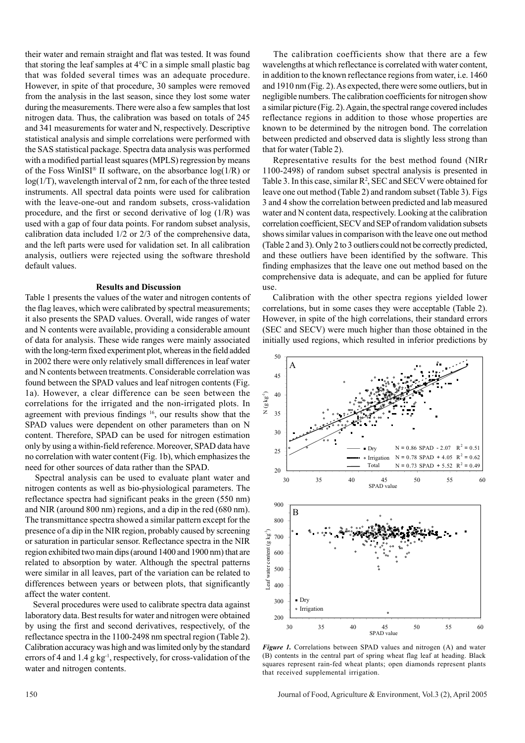their water and remain straight and flat was tested. It was found that storing the leaf samples at  $4^{\circ}$ C in a simple small plastic bag that was folded several times was an adequate procedure. However, in spite of that procedure, 30 samples were removed from the analysis in the last season, since they lost some water during the measurements. There were also a few samples that lost nitrogen data. Thus, the calibration was based on totals of 245 and 341 measurements for water and N, respectively. Descriptive statistical analysis and simple correlations were performed with the SAS statistical package. Spectra data analysis was performed with a modified partial least squares (MPLS) regression by means of the Foss WinISI<sup>®</sup> II software, on the absorbance  $log(1/R)$  or log(1/T), wavelength interval of 2 nm, for each of the three tested instruments. All spectral data points were used for calibration with the leave-one-out and random subsets, cross-validation procedure, and the first or second derivative of  $log(1/R)$  was used with a gap of four data points. For random subset analysis, calibration data included 1/2 or 2/3 of the comprehensive data, and the left parts were used for validation set. In all calibration analysis, outliers were rejected using the software threshold default values.

### **Results and Discussion**

Table 1 presents the values of the water and nitrogen contents of the flag leaves, which were calibrated by spectral measurements; it also presents the SPAD values. Overall, wide ranges of water and N contents were available, providing a considerable amount of data for analysis. These wide ranges were mainly associated with the long-term fixed experiment plot, whereas in the field added in 2002 there were only relatively small differences in leaf water and N contents between treatments. Considerable correlation was found between the SPAD values and leaf nitrogen contents (Fig. 1a). However, a clear difference can be seen between the correlations for the irrigated and the non-irrigated plots. In agreement with previous findings <sup>16</sup>, our results show that the SPAD values were dependent on other parameters than on N content. Therefore, SPAD can be used for nitrogen estimation only by using a within-field reference. Moreover, SPAD data have no correlation with water content (Fig. 1b), which emphasizes the need for other sources of data rather than the SPAD.

 Spectral analysis can be used to evaluate plant water and nitrogen contents as well as bio-physiological parameters. The reflectance spectra had significant peaks in the green (550 nm) and NIR (around 800 nm) regions, and a dip in the red (680 nm). The transmittance spectra showed a similar pattern except for the presence of a dip in the NIR region, probably caused by screening or saturation in particular sensor. Reflectance spectra in the NIR region exhibited two main dips (around 1400 and 1900 nm) that are related to absorption by water. Although the spectral patterns were similar in all leaves, part of the variation can be related to differences between years or between plots, that significantly affect the water content.

 Several procedures were used to calibrate spectra data against laboratory data. Best results for water and nitrogen were obtained by using the first and second derivatives, respectively, of the reflectance spectra in the 1100-2498 nm spectral region (Table 2). Calibration accuracy was high and was limited only by the standard errors of 4 and  $1.4$  g kg<sup>-1</sup>, respectively, for cross-validation of the water and nitrogen contents.

 The calibration coefficients show that there are a few wavelengths at which reflectance is correlated with water content, in addition to the known reflectance regions from water, i.e. 1460 and 1910 nm (Fig. 2). As expected, there were some outliers, but in negligible numbers. The calibration coefficients for nitrogen show a similar picture (Fig. 2). Again, the spectral range covered includes reflectance regions in addition to those whose properties are known to be determined by the nitrogen bond. The correlation between predicted and observed data is slightly less strong than that for water (Table 2).

 Representative results for the best method found (NIRr 1100-2498) of random subset spectral analysis is presented in Table 3. In this case, similar  $\mathbb{R}^2$ , SEC and SECV were obtained for leave one out method (Table 2) and random subset (Table 3). Figs 3 and 4 show the correlation between predicted and lab measured water and N content data, respectively. Looking at the calibration correlation coefficient, SECV and SEP of random validation subsets shows similar values in comparison with the leave one out method (Table 2 and 3). Only 2 to 3 outliers could not be correctly predicted, and these outliers have been identified by the software. This finding emphasizes that the leave one out method based on the comprehensive data is adequate, and can be applied for future use.

 Calibration with the other spectra regions yielded lower correlations, but in some cases they were acceptable (Table 2). However, in spite of the high correlations, their standard errors (SEC and SECV) were much higher than those obtained in the initially used regions, which resulted in inferior predictions by



*Figure 1.* Correlations between SPAD values and nitrogen (A) and water (B) contents in the central part of spring wheat flag leaf at heading. Black squares represent rain-fed wheat plants; open diamonds represent plants that received supplemental irrigation.

150 Journal of Food, Agriculture & Environment, Vol.3 (2), April 2005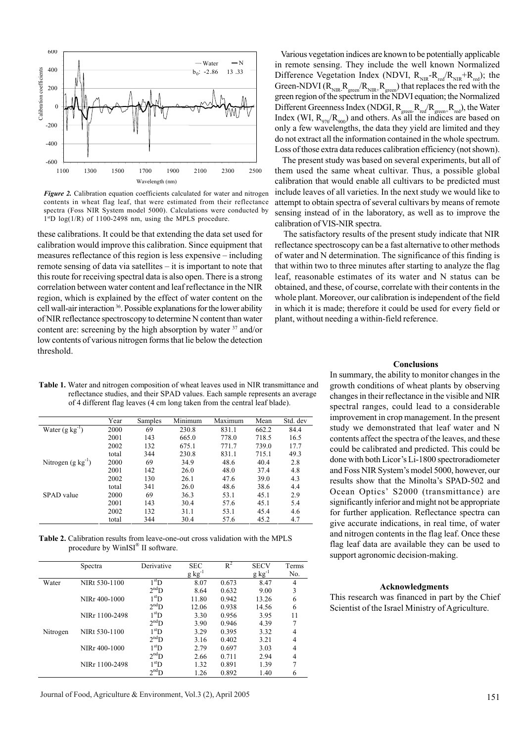

*Figure 2.* Calibration equation coefficients calculated for water and nitrogen contents in wheat flag leaf, that were estimated from their reflectance spectra (Foss NIR System model 5000). Calculations were conducted by 1 stD log(1/R) of 1100-2498 nm, using the MPLS procedure.

these calibrations. It could be that extending the data set used for calibration would improve this calibration. Since equipment that measures reflectance of this region is less expensive – including remote sensing of data via satellites – it is important to note that this route for receiving spectral data is also open. There is a strong correlation between water content and leaf reflectance in the NIR region, which is explained by the effect of water content on the cell wall-air interaction <sup>36</sup>. Possible explanations for the lower ability of NIR reflectance spectroscopy to determine N content than water content are: screening by the high absorption by water <sup>37</sup> and/or low contents of various nitrogen forms that lie below the detection threshold.

 Various vegetation indices are known to be potentially applicable in remote sensing. They include the well known Normalized Difference Vegetation Index (NDVI,  $R_{NIR} - R_{red}/R_{NIR} + R_{red}$ ); the Green-NDVI ( $R_{NIR}$ ,  $R_{green}/R_{NIR}$ ,  $R_{green}$ ) that replaces the red with the green region of the spectrum in the NDVI equation; the Normalized Different Greenness Index (NDGI,  $R_{green}$ - $R_{red}/R_{green}$ + $R_{red}$ ), the Water Index (WI,  $R_{970}/R_{900}$ ) and others. As all the indices are based on only a few wavelengths, the data they yield are limited and they do not extract all the information contained in the whole spectrum. Loss of those extra data reduces calibration efficiency (not shown).

 The present study was based on several experiments, but all of them used the same wheat cultivar. Thus, a possible global calibration that would enable all cultivars to be predicted must include leaves of all varieties. In the next study we would like to attempt to obtain spectra of several cultivars by means of remote sensing instead of in the laboratory, as well as to improve the calibration of VIS-NIR spectra.

 The satisfactory results of the present study indicate that NIR reflectance spectroscopy can be a fast alternative to other methods of water and N determination. The significance of this finding is that within two to three minutes after starting to analyze the flag leaf, reasonable estimates of its water and N status can be obtained, and these, of course, correlate with their contents in the whole plant. Moreover, our calibration is independent of the field in which it is made; therefore it could be used for every field or plant, without needing a within-field reference.

**Table 1.** Water and nitrogen composition of wheat leaves used in NIR transmittance and reflectance studies, and their SPAD values. Each sample represents an average of 4 different flag leaves (4 cm long taken from the central leaf blade).

|                        | Year  | Samples | Minimum | Maximum | Mean  | Std. dev |
|------------------------|-------|---------|---------|---------|-------|----------|
| Water $(g \ kg^{-1})$  | 2000  | 69      | 230.8   | 831.1   | 662.2 | 84.4     |
|                        | 2001  | 143     | 665.0   | 778.0   | 718.5 | 16.5     |
|                        | 2002  | 132     | 675.1   | 771.7   | 739.0 | 17.7     |
|                        | total | 344     | 230.8   | 831.1   | 715.1 | 49.3     |
| Nitrogen $(g kg^{-1})$ | 2000  | 69      | 34.9    | 48.6    | 40.4  | 2.8      |
|                        | 2001  | 142     | 26.0    | 48.0    | 37.4  | 4.8      |
|                        | 2002  | 130     | 26.1    | 47.6    | 39.0  | 4.3      |
|                        | total | 341     | 26.0    | 48.6    | 38.6  | 4.4      |
| SPAD value             | 2000  | 69      | 36.3    | 53.1    | 45.1  | 2.9      |
|                        | 2001  | 143     | 30.4    | 57.6    | 45.1  | 5.4      |
|                        | 2002  | 132     | 31.1    | 53.1    | 45.4  | 4.6      |
|                        | total | 344     | 30.4    | 57.6    | 45.2  | 4.7      |

**Table 2.** Calibration results from leave-one-out cross validation with the MPLS procedure by WinISI® II software.

|          | Spectra                    | Derivative        | <b>SEC</b>  | $R^2$ | <b>SECV</b> | Terms |
|----------|----------------------------|-------------------|-------------|-------|-------------|-------|
|          |                            |                   | $g kg^{-1}$ |       | $g kg^{-1}$ | No.   |
| Water    | NIRt 530-1100              | 1 <sup>st</sup> D | 8.07        | 0.673 | 8.47        | 4     |
|          |                            | 2 <sup>nd</sup> D | 8.64        | 0.632 | 9.00        | 3     |
|          | NIRr 400-1000              | 1 <sup>st</sup> D | 11.80       | 0.942 | 13.26       | 6     |
|          |                            | $2^{\rm nd}D$     | 12.06       | 0.938 | 14.56       | 6     |
|          | NIRr 1100-2498             | 1 <sup>st</sup> D | 3.30        | 0.956 | 3.95        | 11    |
|          |                            | $2^{\rm nd}D$     | 3.90        | 0.946 | 4.39        |       |
| Nitrogen | NIRt 530-1100              | 1 <sup>st</sup> D | 3.29        | 0.395 | 3.32        | 4     |
|          |                            | $2^{\rm nd}D$     | 3.16        | 0.402 | 3.21        | 4     |
|          | NIR <sub>r</sub> 400-1000  | 1 <sup>st</sup> D | 2.79        | 0.697 | 3.03        | 4     |
|          |                            | $2^{\rm nd}D$     | 2.66        | 0.711 | 2.94        | 4     |
|          | NIR <sub>r</sub> 1100-2498 | 1 <sup>st</sup> D | 1.32        | 0.891 | 1.39        | 7     |
|          |                            | 2 <sup>nd</sup> D | 1.26        | 0.892 | 1.40        | 6     |

### **Conclusions**

In summary, the ability to monitor changes in the growth conditions of wheat plants by observing changes in their reflectance in the visible and NIR spectral ranges, could lead to a considerable improvement in crop management. In the present study we demonstrated that leaf water and N contents affect the spectra of the leaves, and these could be calibrated and predicted. This could be done with both Licor's Li-1800 spectroradiometer and Foss NIR System's model 5000, however, our results show that the Minolta's SPAD-502 and Ocean Optics' S2000 (transmittance) are significantly inferior and might not be appropriate for further application. Reflectance spectra can give accurate indications, in real time, of water and nitrogen contents in the flag leaf. Once these flag leaf data are available they can be used to support agronomic decision-making.

#### **Acknowledgments**

This research was financed in part by the Chief Scientist of the Israel Ministry of Agriculture.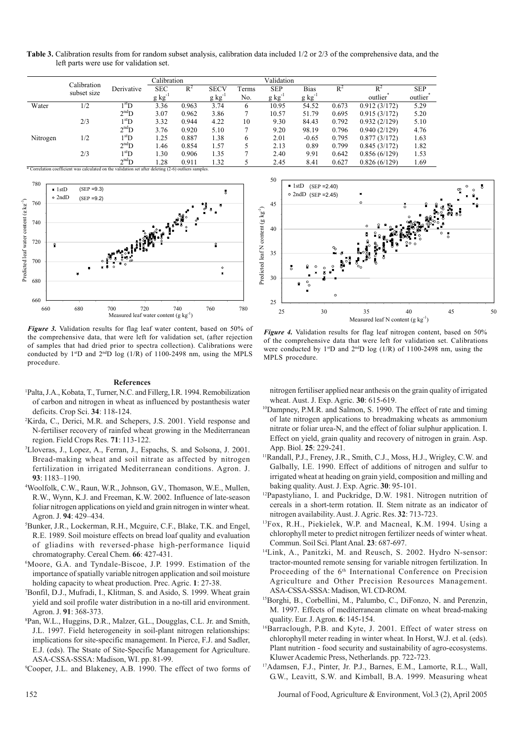| Table 3. Calibration results from for random subset analysis, calibration data included 1/2 or 2/3 of the comprehensive data, and the |  |  |  |
|---------------------------------------------------------------------------------------------------------------------------------------|--|--|--|
| left parts were use for validation set.                                                                                               |  |  |  |

|          | Calibration |                       | Calibration |       |             | Validation   |             |             |       |                               |                                    |
|----------|-------------|-----------------------|-------------|-------|-------------|--------------|-------------|-------------|-------|-------------------------------|------------------------------------|
|          | subset size | Derivative            | <b>SEC</b>  | $R^2$ | <b>SECV</b> | Terms<br>No. | <b>SEP</b>  | <b>Bias</b> | $R^2$ | $R^2$<br>outlier <sup>"</sup> | <b>SEP</b><br>outlier <sup>"</sup> |
|          |             |                       | $g kg^-$    |       | g kg        |              | $g kg^{-1}$ | $g kg^{-1}$ |       |                               |                                    |
| Water    | 1/2         | $1^{\rm st} \rm D$    | 3.36        | 0.963 | 3.74        | 6            | 10.95       | 54.52       | 0.673 | 0.912(3/172)                  | 5.29                               |
|          |             | $2^{\rm nd}D$         | 3.07        | 0.962 | 3.86        |              | 10.57       | 51.79       | 0.695 | 0.915(3/172)                  | 5.20                               |
|          | 2/3         | $1^{\rm st} \text{D}$ | 3.32        | 0.944 | 4.22        | 10           | 9.30        | 84.43       | 0.792 | 0.932(2/129)                  | 5.10                               |
|          |             | $2^{\rm nd}D$         | 3.76        | 0.920 | 5.10        | 7            | 9.20        | 98.19       | 0.796 | 0.940(2/129)                  | 4.76                               |
| Nitrogen | 1/2         | $1^{\rm st}$ D        | 1.25        | 0.887 | 1.38        | 6            | 2.01        | $-0.65$     | 0.795 | 0.877(3/172)                  | 1.63                               |
|          |             | $2^{\rm nd}D$         | 1.46        | 0.854 | 1.57        | 5            | 2.13        | 0.89        | 0.799 | 0.845(3/172)                  | 1.82                               |
|          | 2/3         | $1^{\rm st} \rm D$    | 1.30        | 0.906 | 1.35        | $\mathbf{r}$ | 2.40        | 9.91        | 0.642 | 0.856(6/129)                  | 1.53                               |
|          |             | $2^{\rm nd}D$         | 1.28        | 0.911 | 1.32        | 5            | 2.45        | 8.41        | 0.627 | 0.826(6/129)                  | 1.69                               |

\* Correlation coefficient was calculated on the validation set after deleting (2-6) outliers s



*Figure 3.* Validation results for flag leaf water content, based on 50% of the comprehensive data, that were left for validation set, (after rejection of samples that had dried prior to spectra collection). Calibrations were conducted by  $1^{st}D$  and  $2^{nd}D$  log  $(1/R)$  of 1100-2498 nm, using the MPLS procedure.

#### **References**

- <sup>1</sup>Palta, J.A., Kobata, T., Turner, N.C. and Fillerg, I.R. 1994. Remobilization of carbon and nitrogen in wheat as influenced by postanthesis water deficits. Crop Sci. **34**: 118-124.
- <sup>2</sup>Kirda, C., Derici, M.R. and Schepers, J.S. 2001. Yield response and N-fertiliser recovery of rainfed wheat growing in the Mediterranean region. Field Crops Res. **71**: 113-122.
- <sup>3</sup>Lloveras, J., Lopez, A., Ferran, J., Espachs, S. and Solsona, J. 2001. Bread-making wheat and soil nitrate as affected by nitrogen fertilization in irrigated Mediterranean conditions. Agron. J. **93**: 1183–1190.
- <sup>4</sup>Woolfolk, C.W., Raun, W.R., Johnson, G.V., Thomason, W.E., Mullen, R.W., Wynn, K.J. and Freeman, K.W. 2002. Influence of late-season foliar nitrogen applications on yield and grain nitrogen in winter wheat. Agron. J. **94**: 429–434.
- <sup>5</sup>Bunker, J.R., Lockerman, R.H., Mcguire, C.F., Blake, T.K. and Engel, R.E. 1989. Soil moisture effects on bread loaf quality and evaluation of gliadins with reversed-phase high-performance liquid chromatography. Cereal Chem. **66**: 427-431.
- <sup>6</sup>Moore, G.A. and Tyndale-Biscoe, J.P. 1999. Estimation of the importance of spatially variable nitrogen application and soil moisture holding capacity to wheat production. Prec. Agric. **1**: 27-38.
- <sup>7</sup>Bonfil, D.J., Mufradi, I., Klitman, S. and Asido, S. 1999. Wheat grain yield and soil profile water distribution in a no-till arid environment. Agron. J. **91**: 368-373.
- <sup>8</sup>Pan, W.L., Huggins, D.R., Malzer, G.L., Dougglas, C.L. Jr. and Smith, J.L. 1997. Field heterogeneity in soil-plant nitrogen relationships: implications for site-specific management. In Pierce, F.J. and Sadler, E.J. (eds). The Stsate of Site-Specific Management for Agriculture. ASA-CSSA-SSSA: Madison, WI. pp. 81-99.

<sup>9</sup>Cooper, J.L. and Blakeney, A.B. 1990. The effect of two forms of



*Figure 4.* Validation results for flag leaf nitrogen content, based on 50% of the comprehensive data that were left for validation set. Calibrations were conducted by  $1^{st}D$  and  $2^{nd}D \log (1/R)$  of 1100-2498 nm, using the MPLS procedure.

nitrogen fertiliser applied near anthesis on the grain quality of irrigated wheat. Aust. J. Exp. Agric. **30**: 615-619.

- <sup>10</sup>Dampney, P.M.R. and Salmon, S. 1990. The effect of rate and timing of late nitrogen applications to breadmaking wheats as ammonium nitrate or foliar urea-N, and the effect of foliar sulphur application. I. Effect on yield, grain quality and recovery of nitrogen in grain. Asp. App. Biol. **25**: 229-241.
- <sup>11</sup>Randall, P.J., Freney, J.R., Smith, C.J., Moss, H.J., Wrigley, C.W. and Galbally, I.E. 1990. Effect of additions of nitrogen and sulfur to irrigated wheat at heading on grain yield, composition and milling and baking quality. Aust. J. Exp. Agric. **30**: 95-101.
- <sup>12</sup>Papastyliano, I. and Puckridge, D.W. 1981. Nitrogen nutrition of cereals in a short-term rotation. II. Stem nitrate as an indicator of nitrogen availability. Aust. J. Agric. Res. **32**: 713-723.
- <sup>13</sup>Fox, R.H., Piekielek, W.P. and Macneal, K.M. 1994. Using a chlorophyll meter to predict nitrogen fertilizer needs of winter wheat. Commun. Soil Sci. Plant Anal. **23**: 687-697.
- <sup>14</sup>Link, A., Panitzki, M. and Reusch, S. 2002. Hydro N-sensor: tractor-mounted remote sensing for variable nitrogen fertilization. In Proceeding of the 6<sup>th</sup> International Conference on Precision Agriculture and Other Precision Resources Management. ASA-CSSA-SSSA: Madison, WI. CD-ROM.
- <sup>15</sup>Borghi, B., Corbellini, M., Palumbo, C., DiFonzo, N. and Perenzin, M. 1997. Effects of mediterranean climate on wheat bread-making quality. Eur. J. Agron. **6**: 145-154.
- <sup>16</sup>Barraclough, P.B. and Kyte, J. 2001. Effect of water stress on chlorophyll meter reading in winter wheat. In Horst, W.J. et al. (eds). Plant nutrition - food security and sustainability of agro-ecosystems. Kluwer Academic Press, Netherlands. pp. 722-723.
- <sup>17</sup>Adamsen, F.J., Pinter, Jr. P.J., Barnes, E.M., Lamorte, R.L., Wall, G.W., Leavitt, S.W. and Kimball, B.A. 1999. Measuring wheat

152 Journal of Food, Agriculture & Environment, Vol.3 (2), April 2005